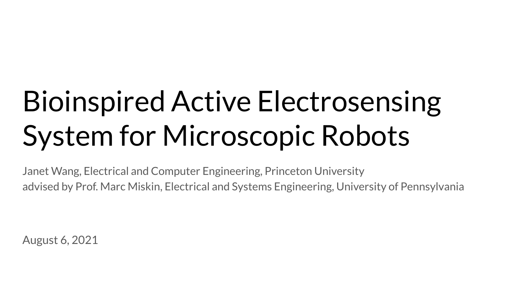# Bioinspired Active Electrosensing System for Microscopic Robots

Janet Wang, Electrical and Computer Engineering, Princeton University advised by Prof. Marc Miskin, Electrical and Systems Engineering, University of Pennsylvania

August 6, 2021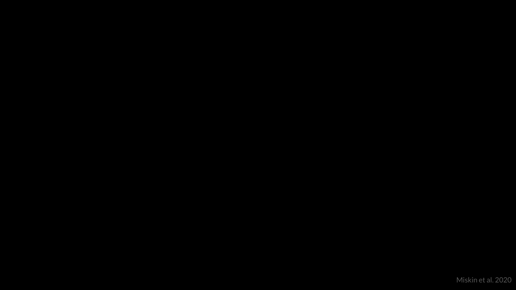[Miskin et al. 2020](https://docs.google.com/file/d/1rBzsqxDKEKLWyCvT9PrYm0gEPCfleBrI/preview)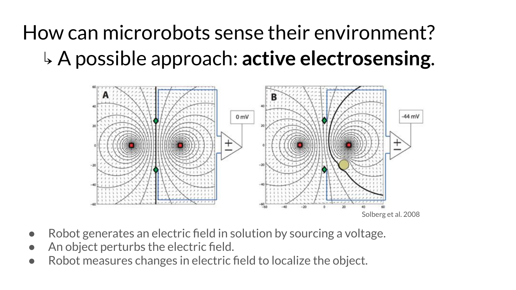# How can microrobots sense their environment? ↳ A possible approach: **active electrosensing**.



- Robot generates an electric field in solution by sourcing a voltage.
- An object perturbs the electric field.
- Robot measures changes in electric field to localize the object.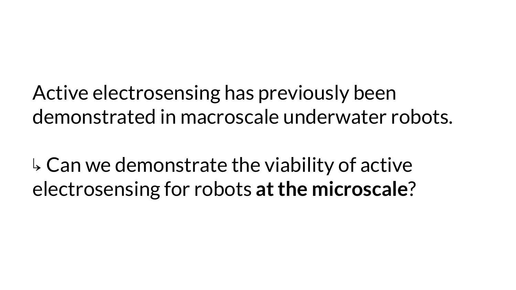Active electrosensing has previously been demonstrated in macroscale underwater robots.

 $\overline{b}$  Can we demonstrate the viability of active electrosensing for robots **at the microscale**?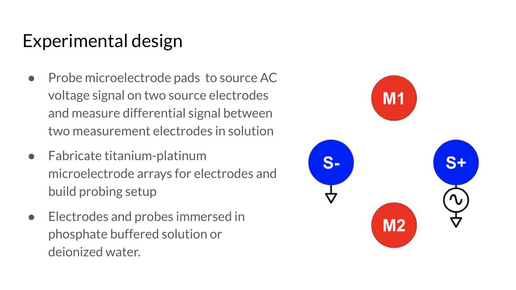## Experimental design

- Probe microelectrode pads to source AC voltage signal on two source electrodes and measure differential signal between two measurement electrodes in solution
- Fabricate titanium-platinum microelectrode arrays for electrodes and build probing setup
- Electrodes and probes immersed in phosphate buffered solution or deionized water.

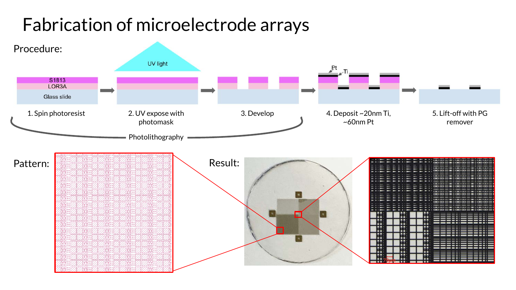### Fabrication of microelectrode arrays

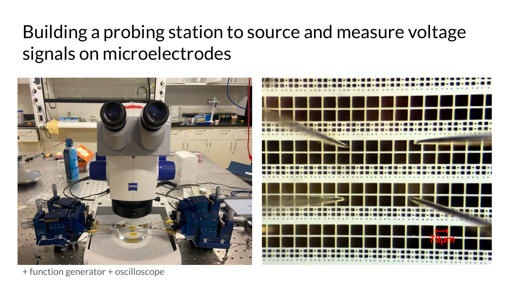## Building a probing station to source and measure voltage signals on microelectrodes



+ function generator + oscilloscope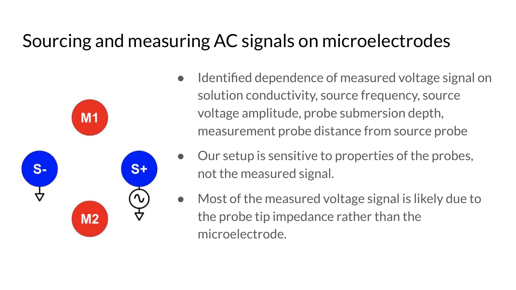### Sourcing and measuring AC signals on microelectrodes



- Identified dependence of measured voltage signal on solution conductivity, source frequency, source voltage amplitude, probe submersion depth, measurement probe distance from source probe
- Our setup is sensitive to properties of the probes, not the measured signal.
- Most of the measured voltage signal is likely due to the probe tip impedance rather than the microelectrode.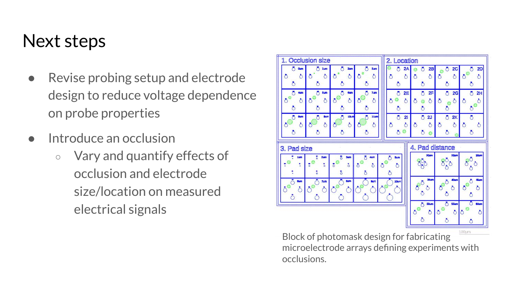#### Next steps

- Revise probing setup and electrode design to reduce voltage dependence on probe properties
- Introduce an occlusion
	- Vary and quantify effects of occlusion and electrode size/location on measured electrical signals



Block of photomask design for fabricating microelectrode arrays defining experiments with occlusions.